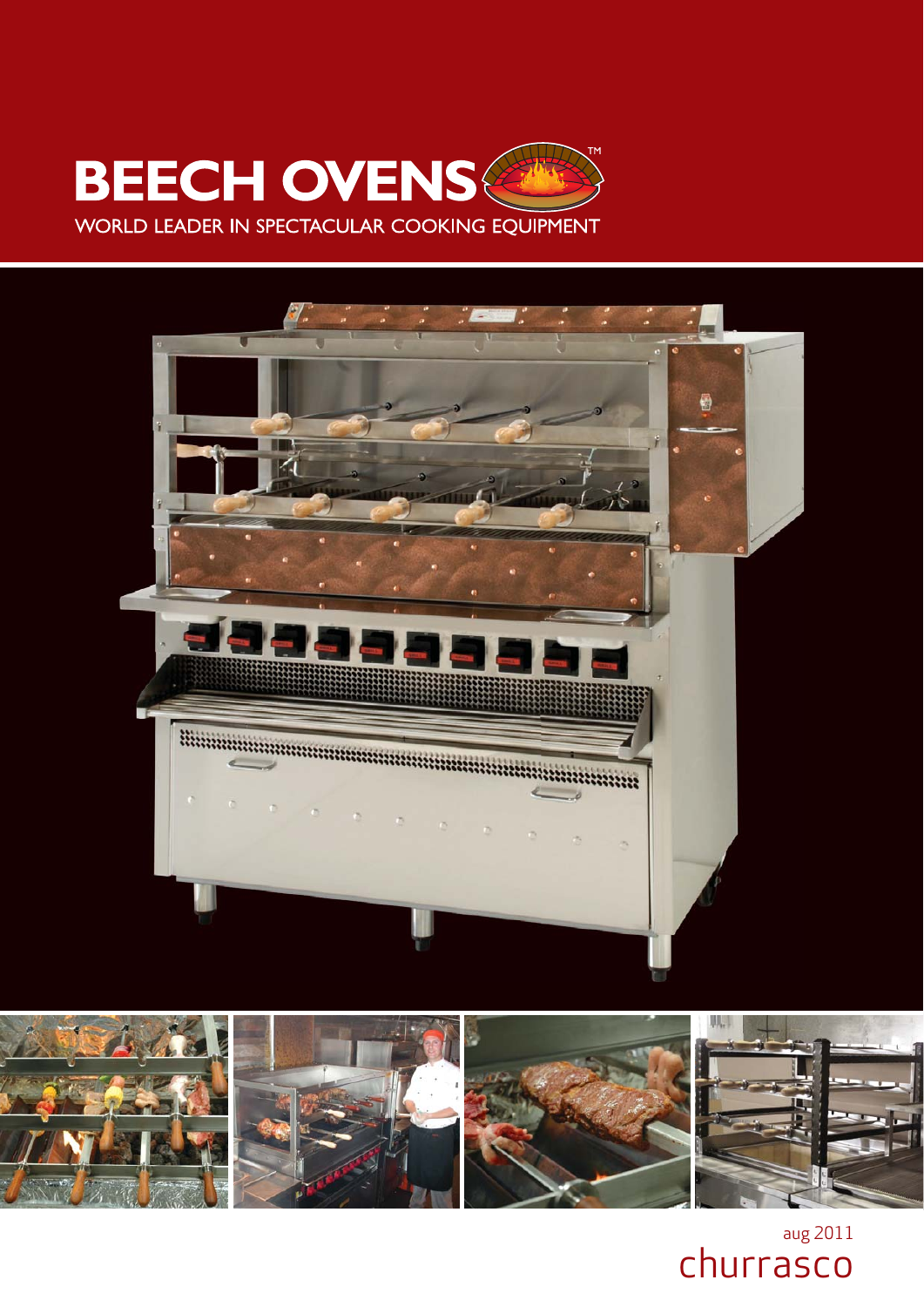





aug 2011 churrasco